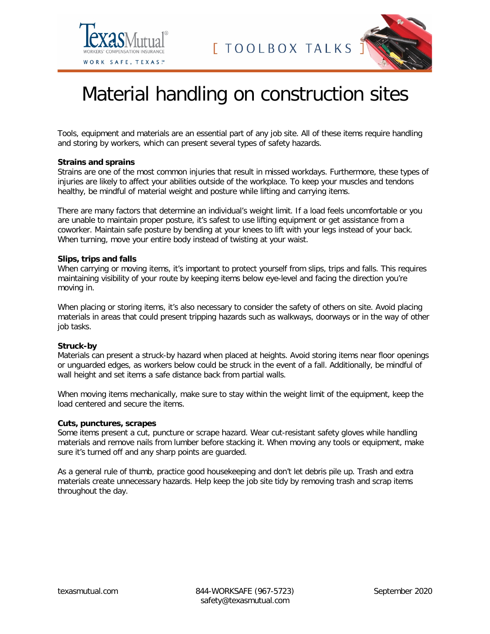



# Material handling on construction sites

Tools, equipment and materials are an essential part of any job site. All of these items require handling and storing by workers, which can present several types of safety hazards.

#### **Strains and sprains**

Strains are one of the most common injuries that result in missed workdays. Furthermore, these types of injuries are likely to affect your abilities outside of the workplace. To keep your muscles and tendons healthy, be mindful of material weight and posture while lifting and carrying items.

There are many factors that determine an individual's weight limit. If a load feels uncomfortable or you are unable to maintain proper posture, it's safest to use lifting equipment or get assistance from a coworker. Maintain safe posture by bending at your knees to lift with your legs instead of your back. When turning, move your entire body instead of twisting at your waist.

#### **Slips, trips and falls**

When carrying or moving items, it's important to protect yourself from slips, trips and falls. This requires maintaining visibility of your route by keeping items below eye-level and facing the direction you're moving in.

When placing or storing items, it's also necessary to consider the safety of others on site. Avoid placing materials in areas that could present tripping hazards such as walkways, doorways or in the way of other job tasks.

### **Struck-by**

Materials can present a struck-by hazard when placed at heights. Avoid storing items near floor openings or unguarded edges, as workers below could be struck in the event of a fall. Additionally, be mindful of wall height and set items a safe distance back from partial walls.

When moving items mechanically, make sure to stay within the weight limit of the equipment, keep the load centered and secure the items.

## **Cuts, punctures, scrapes**

Some items present a cut, puncture or scrape hazard. Wear cut-resistant safety gloves while handling materials and remove nails from lumber before stacking it. When moving any tools or equipment, make sure it's turned off and any sharp points are guarded.

As a general rule of thumb, practice good housekeeping and don't let debris pile up. Trash and extra materials create unnecessary hazards. Help keep the job site tidy by removing trash and scrap items throughout the day.